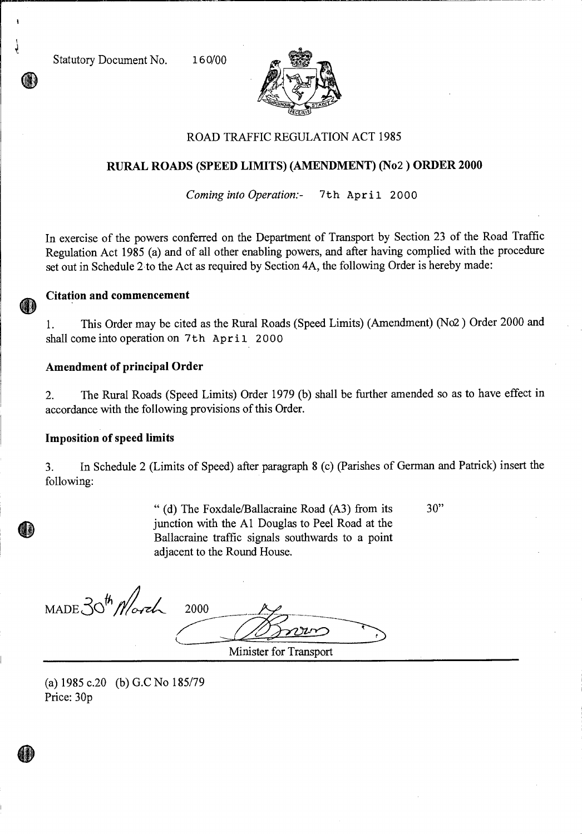Statutory Document No. 160/00



# ROAD TRAFFIC REGULATION ACT 1985

## **RURAL ROADS (SPEED LIMITS) (AMENDMENT) (No2 ) ORDER 2000**

*Coming into Operation:-* 7th April 2000

In exercise of the powers conferred on the Department of Transport by Section 23 of the Road Traffic Regulation Act 1985 (a) and of all other enabling powers, and after having complied with the procedure set out in Schedule 2 to the Act as required by Section 4A, the following Order is hereby made:

#### **Citation and commencement**

1. This Order may be cited as the Rural Roads (Speed Limits) (Amendment) (No2 ) Order 2000 and shall come into operation on 7th April 2000

### **Amendment of principal Order**

2. The Rural Roads (Speed Limits) Order 1979 (b) shall be further amended so as to have effect in accordance with the following provisions of this Order.

#### **Imposition of speed limits**

3. In Schedule 2 (Limits of Speed) after paragraph 8 (c) (Parishes of German and Patrick) insert the following:

> " (d) The Foxdale/Ballacraine Road (A3) from its 30" junction with the Al Douglas to Peel Road at the Ballacraine traffic signals southwards to a point adjacent to the Round House.

 $MADE30^{th}$  Morch 2000

Minister for Transport

(a)  $1985$  c.20 (b) G.C No  $185/79$ Price: 30p